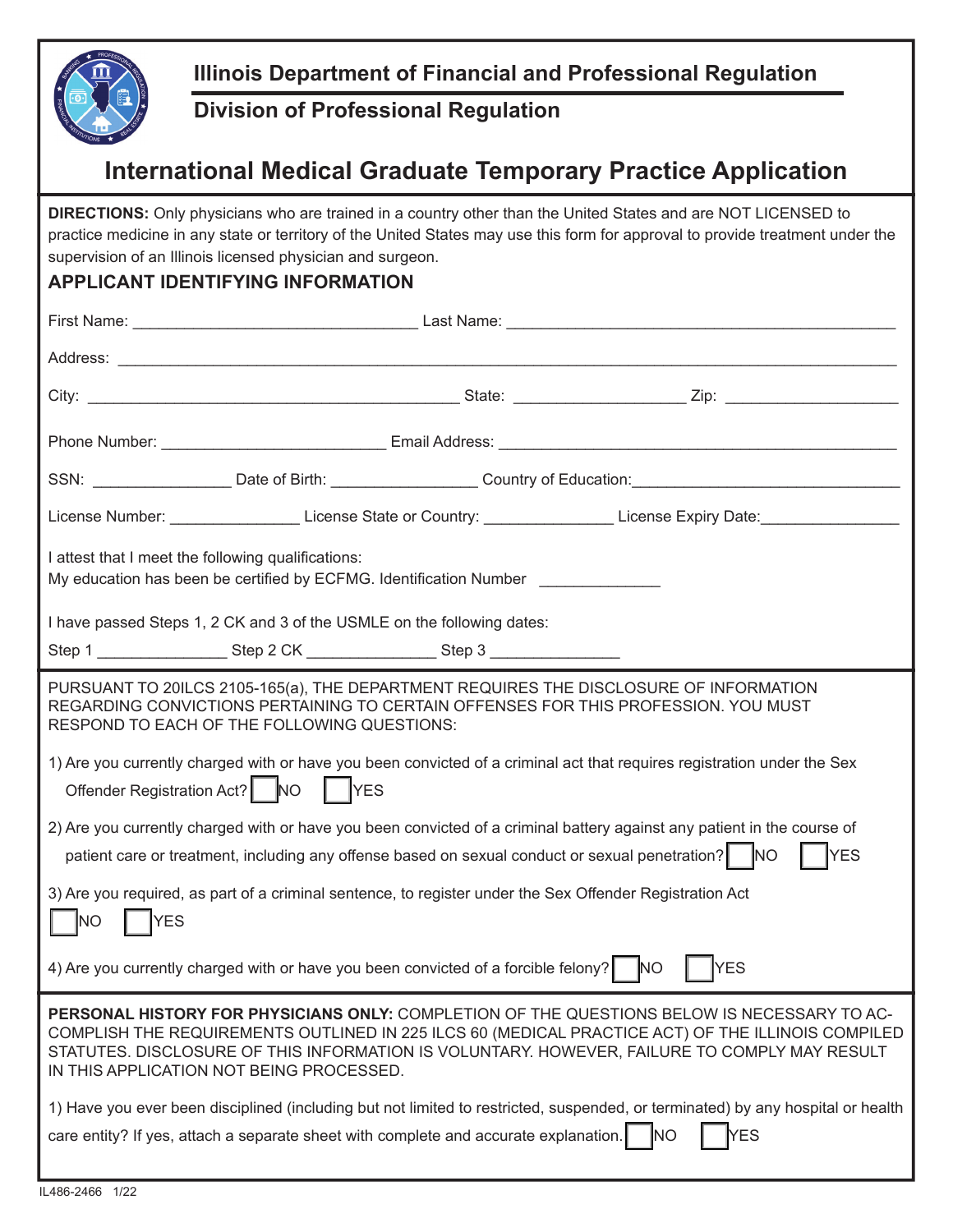

## **Illinois Department of Financial and Professional Regulation**

## **Division of Professional Regulation**

## **International Medical Graduate Temporary Practice Application**

**DIRECTIONS:** Only physicians who are trained in a country other than the United States and are NOT LICENSED to practice medicine in any state or territory of the United States may use this form for approval to provide treatment under the supervision of an Illinois licensed physician and surgeon.

## **APPLICANT IDENTIFYING INFORMATION**

|                                                                                                                                                                                                                                                    |  |  | SSN: ___________________Date of Birth: ____________________Country of Education: _____________________________                                                                                                                                                                                   |  |
|----------------------------------------------------------------------------------------------------------------------------------------------------------------------------------------------------------------------------------------------------|--|--|--------------------------------------------------------------------------------------------------------------------------------------------------------------------------------------------------------------------------------------------------------------------------------------------------|--|
|                                                                                                                                                                                                                                                    |  |  | License Number: ___________________License State or Country: __________________License Expiry Date: ________________                                                                                                                                                                             |  |
| I attest that I meet the following qualifications:<br>My education has been be certified by ECFMG. Identification Number                                                                                                                           |  |  |                                                                                                                                                                                                                                                                                                  |  |
| I have passed Steps 1, 2 CK and 3 of the USMLE on the following dates:                                                                                                                                                                             |  |  |                                                                                                                                                                                                                                                                                                  |  |
| Step 1 ___________________Step 2 CK ___________________Step 3 __________________                                                                                                                                                                   |  |  |                                                                                                                                                                                                                                                                                                  |  |
| RESPOND TO EACH OF THE FOLLOWING QUESTIONS:                                                                                                                                                                                                        |  |  | PURSUANT TO 20ILCS 2105-165(a), THE DEPARTMENT REQUIRES THE DISCLOSURE OF INFORMATION<br>REGARDING CONVICTIONS PERTAINING TO CERTAIN OFFENSES FOR THIS PROFESSION. YOU MUST                                                                                                                      |  |
| 1) Are you currently charged with or have you been convicted of a criminal act that requires registration under the Sex<br>Offender Registration Act? NO<br><b>YES</b>                                                                             |  |  |                                                                                                                                                                                                                                                                                                  |  |
| 2) Are you currently charged with or have you been convicted of a criminal battery against any patient in the course of<br><b>YES</b>                                                                                                              |  |  |                                                                                                                                                                                                                                                                                                  |  |
| 3) Are you required, as part of a criminal sentence, to register under the Sex Offender Registration Act<br><b>YES</b><br>INO.                                                                                                                     |  |  |                                                                                                                                                                                                                                                                                                  |  |
| 4) Are you currently charged with or have you been convicted of a forcible felony? NO                                                                                                                                                              |  |  | YES                                                                                                                                                                                                                                                                                              |  |
| IN THIS APPLICATION NOT BEING PROCESSED.                                                                                                                                                                                                           |  |  | PERSONAL HISTORY FOR PHYSICIANS ONLY: COMPLETION OF THE QUESTIONS BELOW IS NECESSARY TO AC-<br>COMPLISH THE REQUIREMENTS OUTLINED IN 225 ILCS 60 (MEDICAL PRACTICE ACT) OF THE ILLINOIS COMPILED<br>STATUTES. DISCLOSURE OF THIS INFORMATION IS VOLUNTARY. HOWEVER, FAILURE TO COMPLY MAY RESULT |  |
| 1) Have you ever been disciplined (including but not limited to restricted, suspended, or terminated) by any hospital or health<br><b>YES</b><br>care entity? If yes, attach a separate sheet with complete and accurate explanation.<br><b>NO</b> |  |  |                                                                                                                                                                                                                                                                                                  |  |